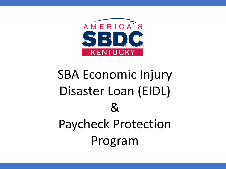

# SBA Economic Injury Disaster Loan (EIDL)  $\mathcal{R}_{\mathcal{L}}$ Paycheck Protection Program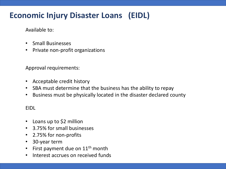# **Economic Injury Disaster Loans (EIDL)**

Available to:

- Small Businesses
- Private non-profit organizations

Approval requirements:

- Acceptable credit history
- SBA must determine that the business has the ability to repay
- Business must be physically located in the disaster declared county

EIDL

- Loans up to \$2 million
- 3.75% for small businesses
- 2.75% for non-profits
- 30-year term
- First payment due on  $11<sup>th</sup>$  month
- Interest accrues on received funds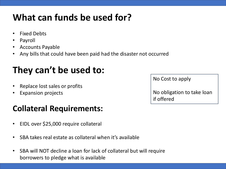# **What can funds be used for?**

- Fixed Debts
- Payroll
- Accounts Payable
- Any bills that could have been paid had the disaster not occurred

# **They can't be used to:**

- Replace lost sales or profits
- Expansion projects

# **Collateral Requirements:**

- EIDL over \$25,000 require collateral
- SBA takes real estate as collateral when it's available
- SBA will NOT decline a loan for lack of collateral but will require borrowers to pledge what is available

| <b>NO COST TO ADDITE</b>                 |  |
|------------------------------------------|--|
| No obligation to take loan<br>if offered |  |

 $N = \text{Cost}$  to apply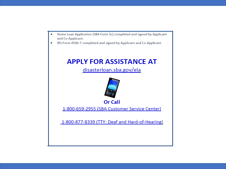- Home Loan Application (SBA Form 5c) completed and signed by Applicant and Co-Applicant.
- IRS Form 4506-T completed and signed by Applicant and Co-Applicant.  $\bullet$

## **APPLY FOR ASSISTANCE AT**

disasterloan.sba.gov/ela



**Or Call** 

1-800-659-2955 (SBA Customer Service Center)

1-800-877-8339 (TTY: Deaf and Hard-of-Hearing)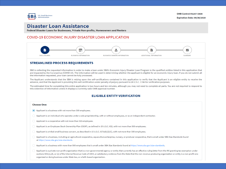**OMB Control #3247-0406** 





## Disaster Loan Assistance

Federal Disaster Loans for Businesses, Private Non-profits, Homeowners and Renters

#### COVID-19 ECONOMIC INJURY DISASTER LOAN APPLICATION



#### **STREAMLINED PROCESS REQUIREMENTS**

SBA is collecting the requested information in order to make a loan under SBA's Economic Injury Disaster Loan Program to the qualified entities listed in this application that are impacted by the Coronavirus (COVID-19). The information will be used in determining whether the applicant is eligible for an economic injury loan. If you do not submit all the information requested, your loan cannot be fully processed.

The Applicant understands that the SBA is relying upon the self-certifications contained in this application to verify that the Applicant is an eligible entity to receive the advance, and that the Applicant is providing this self-certification under penalty of perjury pursuant to 28 U.S.C. 1746 for verification purposes.

The estimated time for completing this entire application is two hours and ten minutes, although you may not need to complete all parts. You are not required to respond to this collection of information unless it displays a currently valid OMB approval number.

#### **ELIGIBLE ENTITY VERIFICATION**

#### **Choose One:**

- Applicant is a business with not more than 500 employees.
- Applicant is an individual who operates under a sole proprietorship, with or without employees, or as an independent contractor.
- Applicant is a cooperative with not more than 500 employees.
- Applicant is an Employee Stock Ownership Plan (ESOP), as defined in 15 U.S.C. 632, with not more than 500 employees.
- $\bigcirc$  Applicant is a tribal small business concern, as described in 15 U.S.C. 657a(b)(2)(C), with not more than 500 employees.
- Applicant is a business, including an agricultural cooperative, aquaculture enterprise, nursery, or producer cooperative, that is small under SBA Size Standards found at https://www.sba.gov/size-standards.
- Applicant is a business with more than 500 employees that is small under SBA Size Standards found at https://www.sba.gov/size-standards.
- Applicant is a private non-profit organization that is a non-governmental agency or entity that currently has an effective ruling letter from the IRS granting tax exemption under sections 501(c),(d), or (e) of the Internal Revenue Code of 1954, or satisfactory evidence from the State that the non-revenue producing organization or entity is a non-profit one organized or doing business under State law, or a faith-based organization.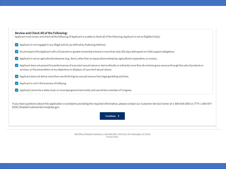### **Review and Check All of the Following:**

Applicant must review and check all the following (If Applicant is unable to check all of the following, Applicant is not an Eligible Entity):

- Applicant is not engaged in any illegal activity (as defined by Federal guidelines).  $\mathcal{L}$
- No principal of the Applicant with a 50 percent or greater ownership interest is more than sixty (60) days delinquent on child support obligations.  $\checkmark$
- Applicant is not an agricultural enterprise (e.g., farm), other than an aquaculture enterprise, agricultural cooperative, or nursery.  $\checkmark$
- Applicant does not present live performances of a prurient sexual nature or derive directly or indirectly more than de minimis gross revenue through the sale of products or services, or the presentation of any depictions or displays, of a prurient sexual nature.
- Applicant does not derive more than one-third of gross annual revenue from legal gambling activities.  $\vee$
- Applicant is not in the business of lobbying.  $\checkmark$
- √ Applicant cannot be a state, local, or municipal government entity and cannot be a member of Congress.

If you have questions about this application or problems providing the required information, please contact our Customer Service Center at 1-800-659-2955 or (TTY: 1-800-877-8339) DisasterCustomerService@sba.gov.



SBA Office of Disaster Assistance | 1-800-659-2955 | 409 3rd St, SW. Washington, DC 20416 **Privacy Policy**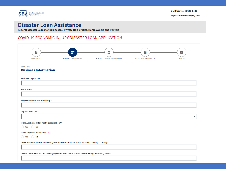

## **Disaster Loan Assistance**

Federal Disaster Loans for Businesses, Private Non-profits, Homeowners and Renters

### COVID-19 ECONOMIC INJURY DISASTER LOAN APPLICATION

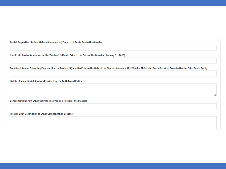Rental Properties (Residential and Commercial) Only - Lost Rents Due to the Disaster

Non-Profit Cost of Operation for the Twelve(12) Month Prior to the Date of the Disaster (January 31, 2020)

Combined Annual Operating Expenses for the Twelve(12) Months Prior to the Date of the Disaster (January 31, 2020) for All Secular Social Services Provided by the Faith Based Entity

List the Secular Social Services Provided by the Faith Based Entity

Compensation From Other Sources Received as a Result of the Disaster

Provide Brief Description of Other Compensation Sources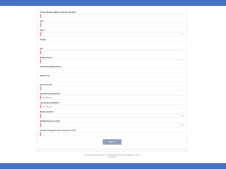| Primary Business Address (Cannot be P.O. Box) * |        |  |              |
|-------------------------------------------------|--------|--|--------------|
| $City *$                                        |        |  |              |
|                                                 |        |  |              |
| State*                                          |        |  |              |
|                                                 |        |  | $\checkmark$ |
| County                                          |        |  |              |
|                                                 |        |  |              |
| zip*                                            |        |  |              |
|                                                 |        |  |              |
| <b>Business Phone*</b>                          |        |  |              |
|                                                 |        |  |              |
| <b>Alternative Business Phone</b>               |        |  |              |
| <b>Business Fax</b>                             |        |  |              |
|                                                 |        |  |              |
| <b>Business Email</b> *                         |        |  |              |
|                                                 |        |  |              |
| Date Business Established *                     |        |  |              |
| mm/dd/yyyy                                      |        |  |              |
| <b>Current Ownership Since*</b>                 |        |  |              |
| mm/dd/yyyy                                      |        |  |              |
| <b>Business Activity</b> *                      |        |  |              |
|                                                 |        |  | $\check{ }$  |
| <b>Detailed Business Activity*</b>              |        |  |              |
|                                                 |        |  | $\check{~}$  |
| Number of Employees (As of January 31, 2020) *  |        |  |              |
|                                                 |        |  |              |
|                                                 | Next > |  |              |
|                                                 |        |  |              |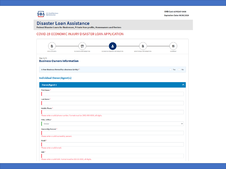

## **Disaster Loan Assistance**

Federal Disaster Loans for Businesses, Private Non-profits, Homeowners and Renters

#### COVID-19 ECONOMIC INJURY DISASTER LOAN APPLICATION

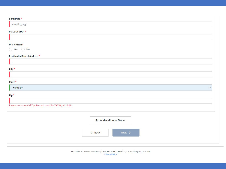| Birth Date*                                                 |
|-------------------------------------------------------------|
| mm/dd/yyyy                                                  |
| Place Of Birth *                                            |
|                                                             |
| U.S. Citizen*                                               |
| ◯ Yes ◯ No                                                  |
| <b>Residential Street Address *</b>                         |
|                                                             |
| city*                                                       |
|                                                             |
| State *                                                     |
| Kentucky<br>$\check{~}$                                     |
| Zip*                                                        |
|                                                             |
| Please enter a valid Zip. Format must be XXXXX, all digits. |
|                                                             |
| 4 Add Additional Owner                                      |
|                                                             |
| Next ><br>< Back                                            |
|                                                             |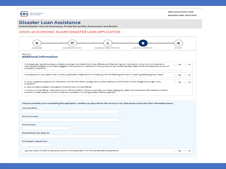

Expiration Date: 09/30/2020

## **Disaster Loan Assistance**

Federal Disaster Loans for Businesses, Private Non-profits, Homeowners and Renters

#### COVID-19 ECONOMIC INJURY DISASTER LOAN APPLICATION

| ۰<br>m<br>an.<br><b>BUSINESS INFORMATION</b><br><b>BUSINESS OWNERS INFORMATION</b><br>ADDITIONAL INFORMATION<br>DISCLOSURES                                                                                                                                                                                                                                | <b>SUMMARY</b>              |  |
|------------------------------------------------------------------------------------------------------------------------------------------------------------------------------------------------------------------------------------------------------------------------------------------------------------------------------------------------------------|-----------------------------|--|
| Shep 5 of 5<br><b>Additional Information</b>                                                                                                                                                                                                                                                                                                               |                             |  |
| In the past year, has the business or a listed owner been convicted of a criminal offense committed during and in connection with a riot or civil disorder or<br>other declared disaster, or ever been engaged in the production or distribution of any product or service that has been determined to be obscene by a court of<br>competent jurisdiction? | ∩ Yes ∩ No                  |  |
| is the applicant or any listed owner currently suspended or debarred from contracting with the Federal government or receiving Federal grants or loans?                                                                                                                                                                                                    | $\rightarrow$ Yes<br>( ) No |  |
| a. Are you presently subject to an indictment, criminal information, arraignment, or other means by which formal criminal charges are brought in any<br>jurisdiction?<br>b. Heve you been arrested in the past six months for any criminal offense?                                                                                                        | Yes No                      |  |
| c. For any criminal offense - other than a minor vehicle violation - have you ever been convicted, plead guilty, plead nolo contendere, been placed on pretrial<br>diversion, or been placed on any form of parole or probation (including probation before judgment)?                                                                                     |                             |  |
| If anyone assisted you in completing this application, whether you pay a fee for this service or not, that person must enter their information below.                                                                                                                                                                                                      |                             |  |
| Individual Name                                                                                                                                                                                                                                                                                                                                            |                             |  |
|                                                                                                                                                                                                                                                                                                                                                            |                             |  |
| <b>Name of Company</b>                                                                                                                                                                                                                                                                                                                                     |                             |  |
|                                                                                                                                                                                                                                                                                                                                                            |                             |  |
| <b>Phone Number</b>                                                                                                                                                                                                                                                                                                                                        |                             |  |
|                                                                                                                                                                                                                                                                                                                                                            |                             |  |
| Street Address, City, State, Zip                                                                                                                                                                                                                                                                                                                           |                             |  |
|                                                                                                                                                                                                                                                                                                                                                            |                             |  |
| Fee Charged or Agreed Upon                                                                                                                                                                                                                                                                                                                                 |                             |  |
| I give permission for SBA to discuss any portion of this application with the representative listed above.                                                                                                                                                                                                                                                 | ∩ Yes ∩ No                  |  |
|                                                                                                                                                                                                                                                                                                                                                            |                             |  |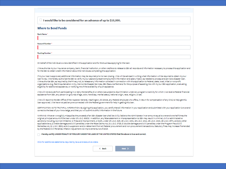$\Box$  I would like to be considered for an advance of up to \$10,000.

#### Where to Send Funds

Rank Name<sup>1</sup>

Account Number<sup>+</sup>

Routing Number\*

On behalf of the individual owners identified in this application and for the business applying for the loan:

I/We authorize my/our insurance company, bank, financial institution, or other creditors to release to SBA all records and information necessary to process this application and for the SBA to obtain credit information about the individuals completing this application.

If my/our loan is approved, additional information may be required prior to loan closing. I/We will be advised in writing what information will be required to obtain my/our loan funds. I/We hereby authorize the SBA to verify my/our past and present employment information and salary history as needed to process and service a disaster loan. I/We authorize SBA, as required by the Privacy Act, to release any information collected in connection with this application to Federal, state, local, tribal or nonprofit organizations (e.g. Red Cross Salvation Army, Mennonite Disaster Services, SBA Resource Partners) for the purpose of assisting me with my/our SBA application, evaluating eligibility for additional assistance, or notifying me of the availability of such assistance.

I/We will not exclude from participating in or deny the benefits of, or otherwise subject to discrimination under any program or activity for which I/we receive Federal financial essistance from SBA, any person on grounds of age, color, handicap, marital status, national origin, race, religion, or sex.

I/We will report to the SBA Office of the Inspector General, Washington, DC 20416, any Federal employee who offers, in return for compensation of any kind, to help get this loan approved. I/We have not paid anyone connected with the Federal government for help in getting this loan.

CERTIFICATION AS TO TRUTHFUL INFORMATION: By signing this application, you certify that all information in your application and submitted with your application is true and correct to the best of your knowledge, and that you will submit truthful information in the future.

WARNING: Whoever wrongfully misapplies the proceeds of an SBA disaster loan shall be civilly liable to the Administrator in an amount equal to one-and-one half times the original principal amount of the loan under 15 U.S.C. 636(b). In addition, any false statement or misrepresentation to SBA may result in criminal, civil or administrative senctions including, but not limited to: 1) fines and imprisonment, or both, under 15 U.S.C. 645, 18 U.S.C. 1001, 18 U.S.C. 1014, 18 U.S.C. 1040, 18 U.S.C. 3571, and any other applicable laws; 2) treble damages and civil penalties under the False Claims Act, 31 U.S.C. 3729; 3) double damages and civil penalties under the Program Fraud Civil Remedies Act, 31 U.S.C. 3802; and 4) suspension and/or debarment from all Federal procurement and non-procurement transactions. Statutory fines may increase if amended by the Federal Civil Penalties Inflation Adjustment Act Improvements Act of 2015.

Thereby certify UNDER PENALTY OF PERJURY UNDER THE LAWS OF THE UNITED STATES that the above is true and correct.

Click for additional statements required by laws and executive orders.

|--|--|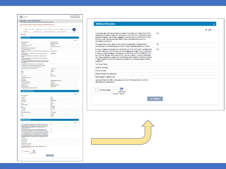|                                                                                                                                                                                                                                                   |                                                                         | <b>ONE Control #3247-0406</b><br>Expiration Date: 09/30/2020 |
|---------------------------------------------------------------------------------------------------------------------------------------------------------------------------------------------------------------------------------------------------|-------------------------------------------------------------------------|--------------------------------------------------------------|
| Disaster Loan Assistance                                                                                                                                                                                                                          |                                                                         |                                                              |
| Federal Disaster Loans for Businesses, Private Non-profits, Homeowners and Renters<br>COVID-19 ECONOMIC INJURY DISASTER LOAN APPLICATION                                                                                                          |                                                                         |                                                              |
|                                                                                                                                                                                                                                                   |                                                                         |                                                              |
| — <del>a</del> –<br>n.<br>- 1                                                                                                                                                                                                                     | - 8 -                                                                   | ø                                                            |
| DISCLOSURES                                                                                                                                                                                                                                       | EUSINESS INFORMATION EUSINESS OWNERS INFORMATION ADDITIONAL INFORMATION |                                                              |
|                                                                                                                                                                                                                                                   |                                                                         |                                                              |
| Summary                                                                                                                                                                                                                                           |                                                                         |                                                              |
| <b>Business Information</b>                                                                                                                                                                                                                       |                                                                         | $\hat{\mathbf{r}}$                                           |
|                                                                                                                                                                                                                                                   |                                                                         | z sa                                                         |
| <b>Cusiness Legal Natio</b>                                                                                                                                                                                                                       | <b>Ciscount Lab Animals</b>                                             |                                                              |
| Trade Name<br>EIN/SSN for Sole Proprietorship                                                                                                                                                                                                     | <b>Difectiont Lab animals</b><br>40-5554125                             |                                                              |
| Organization Type                                                                                                                                                                                                                                 | Limited Liability Pertnership                                           |                                                              |
| la the Applicant a Non-Frofit Organization?                                                                                                                                                                                                       | No                                                                      |                                                              |
| la the Applicant a Franchise?<br>Oreas Revenues for the Trinitia (12) Month Prior to the Date of the Disester (January                                                                                                                            | No<br>\$1,111,111,111.00                                                |                                                              |
| 54.0000                                                                                                                                                                                                                                           |                                                                         |                                                              |
| Cost of Goods Sold for the Tweble(12) Month Prior to the Date of the Disaster<br>(January 51, 2020)                                                                                                                                               | \$22,000,000.00                                                         |                                                              |
| Rental Properties (Residential and Commercial) Only - Lost Rents Due to the<br><b>Silvers</b>                                                                                                                                                     |                                                                         |                                                              |
| Non-Frañt Cast of Operation for the Twelve(12) Month Frior to the Date of the<br>Classter (Jenuary 31, 2020)                                                                                                                                      |                                                                         |                                                              |
|                                                                                                                                                                                                                                                   |                                                                         |                                                              |
| Combined Annual Operating Esperans for the Twelve(12) Months Frier to the Date<br>of the Disaster (January 31, 2020) for All Secular Social Services Frovided by the<br>Faith Sesed Entity                                                        |                                                                         |                                                              |
| List the Secular Social Services Provided by the Faith Based Entity                                                                                                                                                                               |                                                                         |                                                              |
| Compensation From Other Sources Repeived as a Result of the Disaster<br>Provide Brief Description of Other Compensation Sources                                                                                                                   |                                                                         |                                                              |
| Frimary Business Address (Cannot Be P.O. Box)                                                                                                                                                                                                     | 1517 Theolemy                                                           |                                                              |
| dy                                                                                                                                                                                                                                                | Louisville                                                              |                                                              |
| State                                                                                                                                                                                                                                             | Kantucky                                                                |                                                              |
| County<br>z.                                                                                                                                                                                                                                      | w<br>40205                                                              |                                                              |
| <b>Susiness Phone</b>                                                                                                                                                                                                                             | (502)-625-0012                                                          |                                                              |
| Alternative Business Phone                                                                                                                                                                                                                        |                                                                         |                                                              |
| <b>Business Fax</b><br><b>Business Email</b>                                                                                                                                                                                                      | doetkan@greeterlouisville.com                                           |                                                              |
| Date Business Established                                                                                                                                                                                                                         | 01/01/1990                                                              |                                                              |
| Current Comership Since                                                                                                                                                                                                                           | 01/01/1990                                                              |                                                              |
| <b>Business Activity</b>                                                                                                                                                                                                                          | <b>Entertainment Services</b>                                           |                                                              |
| <b>Business Sub Activity</b>                                                                                                                                                                                                                      | <b>Ticket Brokers</b>                                                   |                                                              |
| Number of Employees (As of January 31, 2020)                                                                                                                                                                                                      | š                                                                       |                                                              |
| <b>Business Owners Information</b>                                                                                                                                                                                                                |                                                                         |                                                              |
|                                                                                                                                                                                                                                                   |                                                                         | z sa                                                         |
| Owner/Agent 1                                                                                                                                                                                                                                     |                                                                         |                                                              |
| FirstName<br>Lest Name                                                                                                                                                                                                                            | Cevid<br>Cetion                                                         |                                                              |
| <b>Mobile Phone</b>                                                                                                                                                                                                                               | (502)-594-5571                                                          |                                                              |
| Title / Office                                                                                                                                                                                                                                    | Output                                                                  |                                                              |
| <b>Break</b><br><b>Ownership Percent</b>                                                                                                                                                                                                          | different<br>sos.                                                       |                                                              |
| <b>SSN</b>                                                                                                                                                                                                                                        | 405-85-4521                                                             |                                                              |
| <b>King Card</b>                                                                                                                                                                                                                                  | 01/01/1999                                                              |                                                              |
| <b>Flass Of Sires</b>                                                                                                                                                                                                                             | Louisville, KY<br>w.                                                    |                                                              |
| U.S. Otlass<br>Residential Street Address                                                                                                                                                                                                         | 1517 Theolemy                                                           |                                                              |
| dir                                                                                                                                                                                                                                               | Louisville                                                              |                                                              |
| State<br>zis                                                                                                                                                                                                                                      | Kantucky<br>40205                                                       |                                                              |
|                                                                                                                                                                                                                                                   |                                                                         |                                                              |
| Additional Information                                                                                                                                                                                                                            |                                                                         |                                                              |
|                                                                                                                                                                                                                                                   |                                                                         |                                                              |
|                                                                                                                                                                                                                                                   | No                                                                      | e sa                                                         |
|                                                                                                                                                                                                                                                   |                                                                         |                                                              |
| in the past year, has the business or a listed owner been convicted of a criminal<br>offeres committed during and in commation with a risk or club discrete or other<br>occurs disaster, or ever been engaged in the production or d              |                                                                         | $\overline{\phantom{a}}$<br>$\mathbf{A}$                     |
| la the applicant or any listed owner currently suspended or debarred from<br>contracting with the Federal government or receiving Federal grants or loans?                                                                                        | No                                                                      |                                                              |
|                                                                                                                                                                                                                                                   | <b>No</b>                                                               |                                                              |
|                                                                                                                                                                                                                                                   |                                                                         |                                                              |
|                                                                                                                                                                                                                                                   |                                                                         |                                                              |
| $\mathfrak{a},\mathfrak{b}$ are associated as a findimension of the<br>state product and state in the state of the state of the state of the<br>state of the state of the state of the state of the state of the state<br>of the state of the sta |                                                                         |                                                              |
| Individual Name<br><b>Name of Company</b>                                                                                                                                                                                                         |                                                                         |                                                              |
| <b>Phone Number</b>                                                                                                                                                                                                                               |                                                                         |                                                              |
| Street Address, City, State, Zip                                                                                                                                                                                                                  |                                                                         |                                                              |
| Fee Charged or Agreed Upon                                                                                                                                                                                                                        |                                                                         |                                                              |
| i give permission for SBA to discuss any portion of this application with the<br>representative listed above.                                                                                                                                     |                                                                         |                                                              |
|                                                                                                                                                                                                                                                   |                                                                         |                                                              |
| fm not a robot<br><b>Christmas</b>                                                                                                                                                                                                                |                                                                         |                                                              |

| <b>Additional Information</b>                                                                                                                                                                                                                                                                                                                                                                                                                                                                                                        |            |        |
|--------------------------------------------------------------------------------------------------------------------------------------------------------------------------------------------------------------------------------------------------------------------------------------------------------------------------------------------------------------------------------------------------------------------------------------------------------------------------------------------------------------------------------------|------------|--------|
|                                                                                                                                                                                                                                                                                                                                                                                                                                                                                                                                      |            | ⊿ Edit |
| In the past year, has the business one listed owner been convicted of a criminal<br>offense committed during and in connection with a riot or civil disorder or other.<br>declared disaster, or ever been engaged in the production or distribution of any<br>production service that has been determined to be obscene by a court of<br>competent jurisdiction?                                                                                                                                                                     | No.        |        |
| la the applicant or any listed owner currently suspended or debarred from<br>contracting with the Pederal government or receiving Pederal grants or loans?                                                                                                                                                                                                                                                                                                                                                                           | No.        |        |
| a. Are you presently subject to an indictment, criminal information, arraignment,<br>or other means by which formal criminal charges are brought in any jurisdiction?<br>b. Have you been arrested in the past six months for any criminal offense? c. For<br>any criminal offense - other than a minor vehicle violation - have you ever been<br>convicted, plead guilty, plead nois contendent, been placed on pretrial diversion.<br>or been placed on any form of parole or probation (including probation before<br>judement(?) | No         |        |
| Individual Name                                                                                                                                                                                                                                                                                                                                                                                                                                                                                                                      |            |        |
| <b>Name of Company</b>                                                                                                                                                                                                                                                                                                                                                                                                                                                                                                               |            |        |
| Fhone Number                                                                                                                                                                                                                                                                                                                                                                                                                                                                                                                         |            |        |
| Street Address, City, State, Zip                                                                                                                                                                                                                                                                                                                                                                                                                                                                                                     |            |        |
| Fee Charged or Agreed Upon                                                                                                                                                                                                                                                                                                                                                                                                                                                                                                           |            |        |
| I give permission for SEA to discuss any portion of this application with the<br>representative listed above.                                                                                                                                                                                                                                                                                                                                                                                                                        |            |        |
| I'm not a rebot<br>Privacy - Tenma                                                                                                                                                                                                                                                                                                                                                                                                                                                                                                   |            |        |
|                                                                                                                                                                                                                                                                                                                                                                                                                                                                                                                                      | $V$ Submit |        |

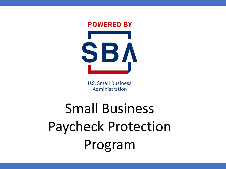

**U.S. Small Business** Administration

# Small Business Paycheck Protection Program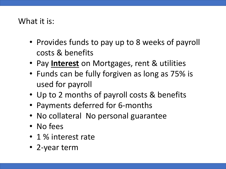## What it is:

- Provides funds to pay up to 8 weeks of payroll costs & benefits
- Pay **Interest** on Mortgages, rent & utilities
- Funds can be fully forgiven as long as 75% is used for payroll
- Up to 2 months of payroll costs & benefits
- Payments deferred for 6-months
- No collateral No personal guarantee
- No fees
- 1 % interest rate
- 2-year term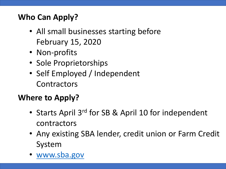# **Who Can Apply?**

- All small businesses starting before February 15, 2020
- Non-profits
- Sole Proprietorships
- Self Employed / Independent **Contractors**

# **Where to Apply?**

- Starts April 3<sup>rd</sup> for SB & April 10 for independent contractors
- Any existing SBA lender, credit union or Farm Credit System
- [www.sba.gov](http://www.sba.gov/)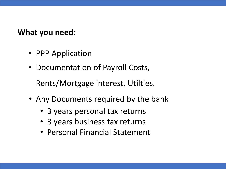## **What you need:**

- PPP Application
- Documentation of Payroll Costs,

Rents/Mortgage interest, Utilties.

- Any Documents required by the bank
	- 3 years personal tax returns
	- 3 years business tax returns
	- Personal Financial Statement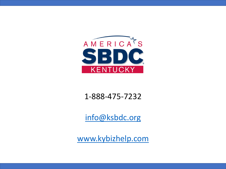

## 1-888-475-7232

[info@ksbdc.org](mailto:info@ksbdc.org)

[www.kybizhelp.com](http://www.kybizhelp.com/)